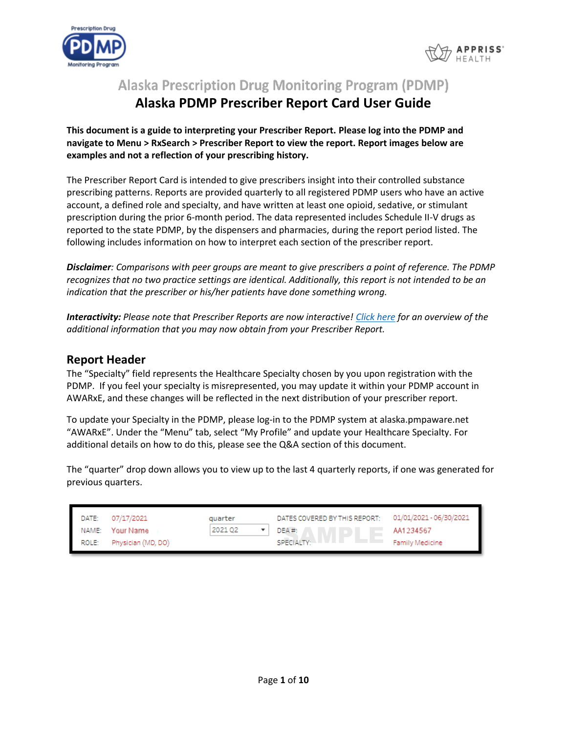



**Alaska Prescription Drug Monitoring Program (PDMP)** 

# **Alaska PDMP Prescriber Report Card User Guide**

**This document is a guide to interpreting your Prescriber Report. Please log into the PDMP and navigate to Menu > RxSearch > Prescriber Report to view the report. Report images below are examples and not a reflection of your prescribing history.**

The Prescriber Report Card is intended to give prescribers insight into their controlled substance prescribing patterns. Reports are provided quarterly to all registered PDMP users who have an active account, a defined role and specialty, and have written at least one opioid, sedative, or stimulant prescription during the prior 6-month period. The data represented includes Schedule II-V drugs as reported to the state PDMP, by the dispensers and pharmacies, during the report period listed. The following includes information on how to interpret each section of the prescriber report.

*Disclaimer: Comparisons with peer groups are meant to give prescribers a point of reference. The PDMP recognizes that no two practice settings are identical. Additionally, this report is not intended to be an indication that the prescriber or his/her patients have done something wrong.*

*Interactivity: Please note that Prescriber Reports are now interactive! [Click here](#page-5-0) for an overview of the additional information that you may now obtain from your Prescriber Report.*

## **Report Header**

The "Specialty" field represents the Healthcare Specialty chosen by you upon registration with the PDMP. If you feel your specialty is misrepresented, you may update it within your PDMP account in AWARxE, and these changes will be reflected in the next distribution of your prescriber report.

To update your Specialty in the PDMP, please log-in to the PDMP system at alaska.pmpaware.net "AWARxE". Under the "Menu" tab, select "My Profile" and update your Healthcare Specialty. For additional details on how to do this, please see the Q&A section of this document.

The "quarter" drop down allows you to view up to the last 4 quarterly reports, if one was generated for previous quarters.

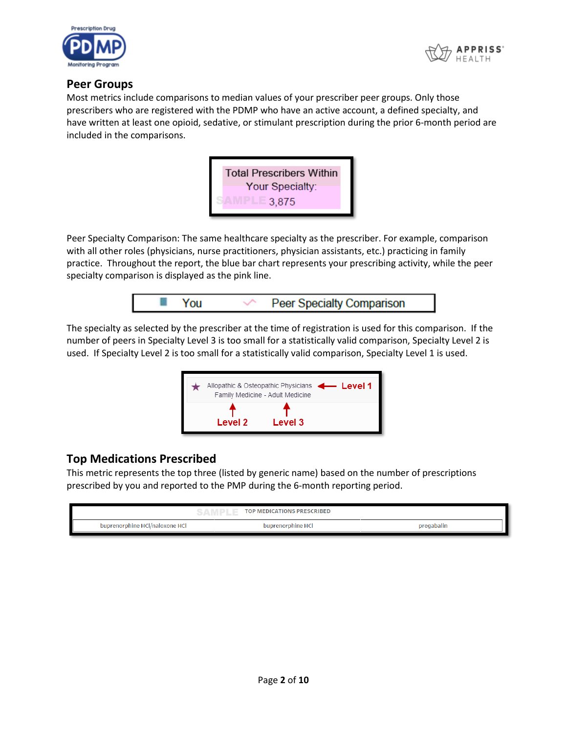



## **Peer Groups**

Most metrics include comparisons to median values of your prescriber peer groups. Only those prescribers who are registered with the PDMP who have an active account, a defined specialty, and have written at least one opioid, sedative, or stimulant prescription during the prior 6-month period are included in the comparisons.



Peer Specialty Comparison: The same healthcare specialty as the prescriber. For example, comparison with all other roles (physicians, nurse practitioners, physician assistants, etc.) practicing in family practice. Throughout the report, the blue bar chart represents your prescribing activity, while the peer specialty comparison is displayed as the pink line.



The specialty as selected by the prescriber at the time of registration is used for this comparison. If the number of peers in Specialty Level 3 is too small for a statistically valid comparison, Specialty Level 2 is used. If Specialty Level 2 is too small for a statistically valid comparison, Specialty Level 1 is used.



## **Top Medications Prescribed**

This metric represents the top three (listed by generic name) based on the number of prescriptions prescribed by you and reported to the PMP during the 6-month reporting period.

|                                | <b>TOP MEDICATIONS PRESCRIBED</b> |            |
|--------------------------------|-----------------------------------|------------|
| buprenorphine HCl/naloxone HCl | buprenorphine HCl                 | pregabalin |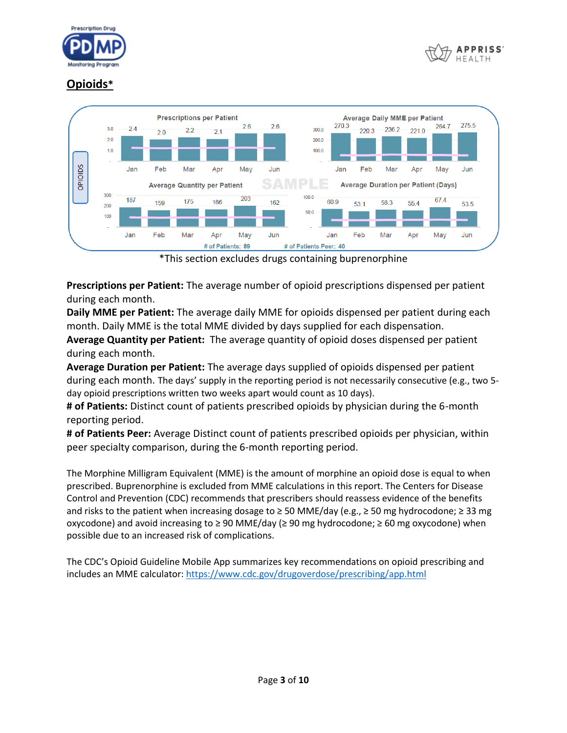



## **Opioids\***



\*This section excludes drugs containing buprenorphine

**Prescriptions per Patient:** The average number of opioid prescriptions dispensed per patient during each month.

**Daily MME per Patient:** The average daily MME for opioids dispensed per patient during each month. Daily MME is the total MME divided by days supplied for each dispensation.

**Average Quantity per Patient:** The average quantity of opioid doses dispensed per patient during each month.

**Average Duration per Patient:** The average days supplied of opioids dispensed per patient during each month. The days' supply in the reporting period is not necessarily consecutive (e.g., two 5 day opioid prescriptions written two weeks apart would count as 10 days).

**# of Patients:** Distinct count of patients prescribed opioids by physician during the 6-month reporting period.

**# of Patients Peer:** Average Distinct count of patients prescribed opioids per physician, within peer specialty comparison, during the 6-month reporting period.

The Morphine Milligram Equivalent (MME) is the amount of morphine an opioid dose is equal to when prescribed. Buprenorphine is excluded from MME calculations in this report. The Centers for Disease Control and Prevention (CDC) recommends that prescribers should reassess evidence of the benefits and risks to the patient when increasing dosage to ≥ 50 MME/day (e.g., ≥ 50 mg hydrocodone; ≥ 33 mg oxycodone) and avoid increasing to ≥ 90 MME/day (≥ 90 mg hydrocodone; ≥ 60 mg oxycodone) when possible due to an increased risk of complications.

The CDC's Opioid Guideline Mobile App summarizes key recommendations on opioid prescribing and includes an MME calculator:<https://www.cdc.gov/drugoverdose/prescribing/app.html>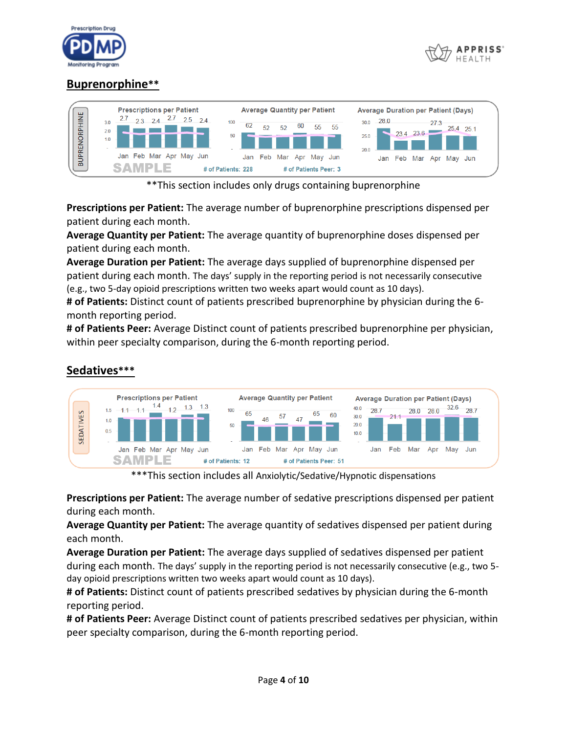



## **Buprenorphine\*\***



\*\*This section includes only drugs containing buprenorphine

**Prescriptions per Patient:** The average number of buprenorphine prescriptions dispensed per patient during each month.

**Average Quantity per Patient:** The average quantity of buprenorphine doses dispensed per patient during each month.

**Average Duration per Patient:** The average days supplied of buprenorphine dispensed per patient during each month. The days' supply in the reporting period is not necessarily consecutive (e.g., two 5-day opioid prescriptions written two weeks apart would count as 10 days).

**# of Patients:** Distinct count of patients prescribed buprenorphine by physician during the 6 month reporting period.

**# of Patients Peer:** Average Distinct count of patients prescribed buprenorphine per physician, within peer specialty comparison, during the 6-month reporting period.



## **Sedatives\*\*\***

\*\*\*This section includes all Anxiolytic/Sedative/Hypnotic dispensations

**Prescriptions per Patient:** The average number of sedative prescriptions dispensed per patient during each month.

**Average Quantity per Patient:** The average quantity of sedatives dispensed per patient during each month.

**Average Duration per Patient:** The average days supplied of sedatives dispensed per patient during each month. The days' supply in the reporting period is not necessarily consecutive (e.g., two 5 day opioid prescriptions written two weeks apart would count as 10 days).

**# of Patients:** Distinct count of patients prescribed sedatives by physician during the 6-month reporting period.

**# of Patients Peer:** Average Distinct count of patients prescribed sedatives per physician, within peer specialty comparison, during the 6-month reporting period.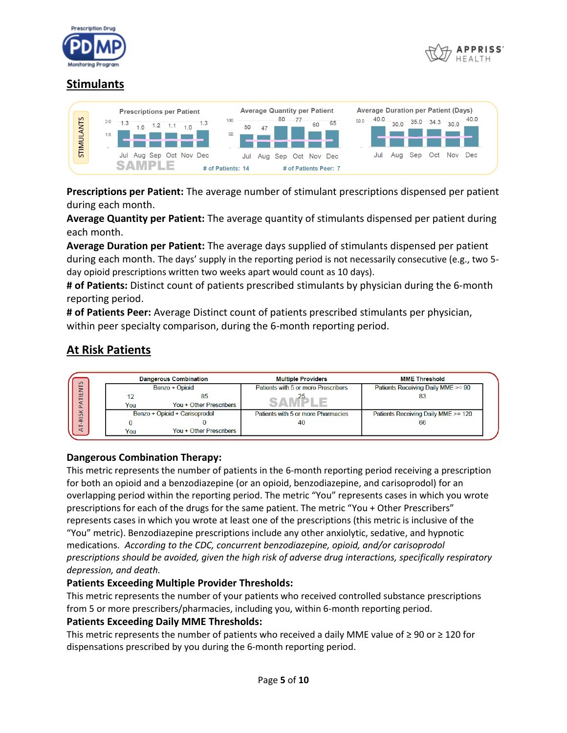



## **Stimulants**



**Prescriptions per Patient:** The average number of stimulant prescriptions dispensed per patient during each month.

**Average Quantity per Patient:** The average quantity of stimulants dispensed per patient during each month.

**Average Duration per Patient:** The average days supplied of stimulants dispensed per patient during each month. The days' supply in the reporting period is not necessarily consecutive (e.g., two 5 day opioid prescriptions written two weeks apart would count as 10 days).

**# of Patients:** Distinct count of patients prescribed stimulants by physician during the 6-month reporting period.

**# of Patients Peer:** Average Distinct count of patients prescribed stimulants per physician, within peer specialty comparison, during the 6-month reporting period.

## **At Risk Patients**



#### **Dangerous Combination Therapy:**

This metric represents the number of patients in the 6-month reporting period receiving a prescription for both an opioid and a benzodiazepine (or an opioid, benzodiazepine, and carisoprodol) for an overlapping period within the reporting period. The metric "You" represents cases in which you wrote prescriptions for each of the drugs for the same patient. The metric "You + Other Prescribers" represents cases in which you wrote at least one of the prescriptions (this metric is inclusive of the "You" metric). Benzodiazepine prescriptions include any other anxiolytic, sedative, and hypnotic medications. *According to the CDC, concurrent benzodiazepine, opioid, and/or carisoprodol prescriptions should be avoided, given the high risk of adverse drug interactions, specifically respiratory depression, and death.*

#### **Patients Exceeding Multiple Provider Thresholds:**

This metric represents the number of your patients who received controlled substance prescriptions from 5 or more prescribers/pharmacies, including you, within 6-month reporting period.

#### **Patients Exceeding Daily MME Thresholds:**

This metric represents the number of patients who received a daily MME value of  $\geq 90$  or  $\geq 120$  for dispensations prescribed by you during the 6-month reporting period.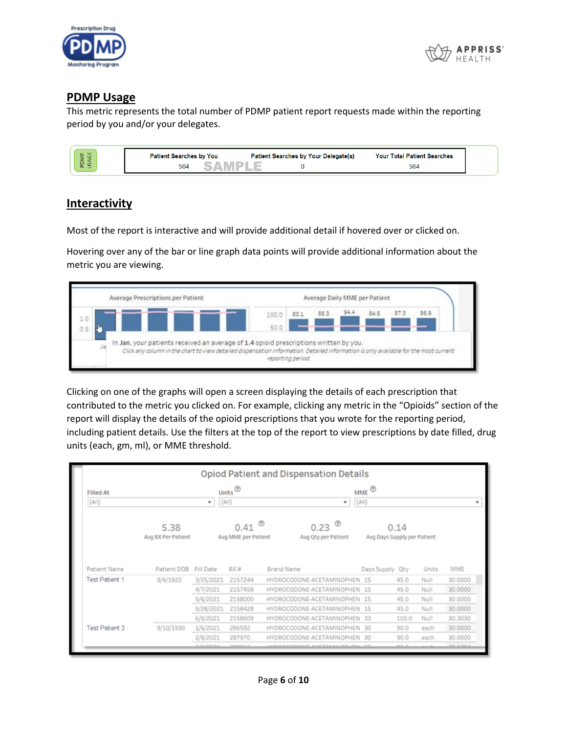



#### **PDMP Usage**

This metric represents the total number of PDMP patient report requests made within the reporting period by you and/or your delegates.

| ш<br>a.<br>-<br>- | <b>Patient Searches by You</b> | <b>Patient Searches by Your Delegate(s)</b> | <b>Patient Searches</b><br><b>Your Total</b> |
|-------------------|--------------------------------|---------------------------------------------|----------------------------------------------|
| ഗ<br>$\sim$<br>-  | 564                            |                                             | 564                                          |

## <span id="page-5-0"></span>**Interactivity**

Most of the report is interactive and will provide additional detail if hovered over or clicked on.

Hovering over any of the bar or line graph data points will provide additional information about the metric you are viewing.



Clicking on one of the graphs will open a screen displaying the details of each prescription that contributed to the metric you clicked on. For example, clicking any metric in the "Opioids" section of the report will display the details of the opioid prescriptions that you wrote for the reporting period, including patient details. Use the filters at the top of the report to view prescriptions by date filled, drug units (each, gm, ml), or MME threshold.

|                           |                            |                  |                               |                   | Opiod Patient and Dispensation Details |   |                                                     |       |       |         |
|---------------------------|----------------------------|------------------|-------------------------------|-------------------|----------------------------------------|---|-----------------------------------------------------|-------|-------|---------|
| <b>Filled At</b><br>(AII) |                            | ٠                | Units $^{\circledR}$<br>(AII) |                   |                                        | ٠ | $MME$ <sup><math>\circledcirc</math></sup><br>(AII) |       |       | ٠       |
|                           | 5.38<br>Avg RX Per Patient |                  | 0.41<br>Avg MME per Patient   |                   | 0.23<br>Avg Qty per Patient            | ℗ | Avg Days Supply per Patient                         | 0.14  |       |         |
| <b>Patient Name</b>       | Patient DOB                | <b>Fill Date</b> | RX#                           | <b>Brand Name</b> |                                        |   | Days Supply                                         | Qty   | Units | MME     |
| <b>Test Patient 1</b>     | 9/4/1922                   | 3/25/2021        | 2157244                       |                   | HYDROCODONE-ACETAMINOPHEN 15           |   |                                                     | 45.0  | Null  | 30.0000 |
|                           |                            | 4/7/2021         | 2157458                       |                   | HYDROCODONE-ACETAMINOPHEN 15           |   |                                                     | 45.0  | Null  | 30.0000 |
|                           |                            | 5/6/2021         | 2158000                       |                   | HYDROCODONE-ACETAMINOPHEN 15           |   |                                                     | 45.0  | Null  | 30.0000 |
|                           |                            | 5/28/2021        | 2158428                       |                   | HYDROCODONE-ACETAMINOPHEN 15           |   |                                                     | 45.0  | Null  | 30.0000 |
|                           |                            | 6/9/2021         | 2158609                       |                   | HYDROCODONE-ACETAMINOPHEN              |   | 33                                                  | 100.0 | Null  | 30.3030 |
| Test Patient 2            | 9/10/1930                  | 1/6/2021         | 286592                        |                   | HYDROCODONE-ACETAMINOPHEN              |   | 30                                                  | 90.0  | each  | 30.0000 |
|                           |                            | 2/8/2021         | 287970                        |                   | HYDROCODONE-ACETAMINOPHEN              |   | 30                                                  | 90.0  | each  | 30.0000 |
|                           |                            | <b>SIAIRRS</b>   | nnnns?                        |                   | INDOACOBALLE ACETALISIANIES: 55        |   |                                                     | محمم  |       | 30.5303 |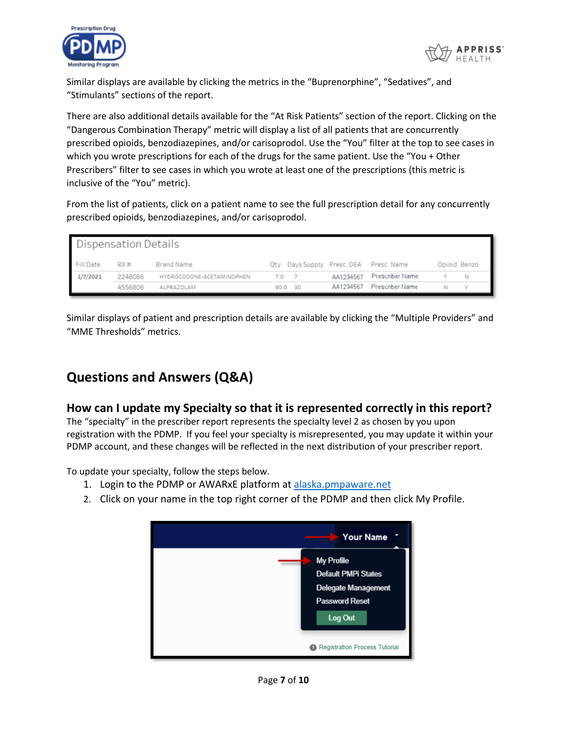



Similar displays are available by clicking the metrics in the "Buprenorphine", "Sedatives", and "Stimulants" sections of the report.

There are also additional details available for the "At Risk Patients" section of the report. Clicking on the "Dangerous Combination Therapy" metric will display a list of all patients that are concurrently prescribed opioids, benzodiazepines, and/or carisoprodol. Use the "You" filter at the top to see cases in which you wrote prescriptions for each of the drugs for the same patient. Use the "You + Other Prescribers" filter to see cases in which you wrote at least one of the prescriptions (this metric is inclusive of the "You" metric).

From the list of patients, click on a patient name to see the full prescription detail for any concurrently prescribed opioids, benzodiazepines, and/or carisoprodol.

| <b>Dispensation Details</b> |         |                           |     |         |           |                                        |              |  |
|-----------------------------|---------|---------------------------|-----|---------|-----------|----------------------------------------|--------------|--|
| Fill Date                   | RX#     | Brand Name                |     |         |           | Qty Days Supply Presc. DEA Presc. Name | Opioid Benzo |  |
| 1/7/2021                    | 2248066 | HYDROCODONE-ACETAMINOPHEN | 7.0 |         | AA1234567 | Prescriber Name                        |              |  |
|                             | 4556806 | ALPRAZOLAM                |     | 90.0 30 | AA1234567 | Prescriber Name                        |              |  |

Similar displays of patient and prescription details are available by clicking the "Multiple Providers" and "MME Thresholds" metrics.

# **Questions and Answers (Q&A)**

## **How can I update my Specialty so that it is represented correctly in this report?**

The "specialty" in the prescriber report represents the specialty level 2 as chosen by you upon registration with the PDMP. If you feel your specialty is misrepresented, you may update it within your PDMP account, and these changes will be reflected in the next distribution of your prescriber report.

To update your specialty, follow the steps below.

- 1. Login to the PDMP or AWARxE platform at [alaska.pmpaware.net](file:///C:/Users/jcooper/AppData/Local/Microsoft/Windows/INetCache/Content.Outlook/9D8712BK/alaska.pmpaware.net)
- 2. Click on your name in the top right corner of the PDMP and then click My Profile.

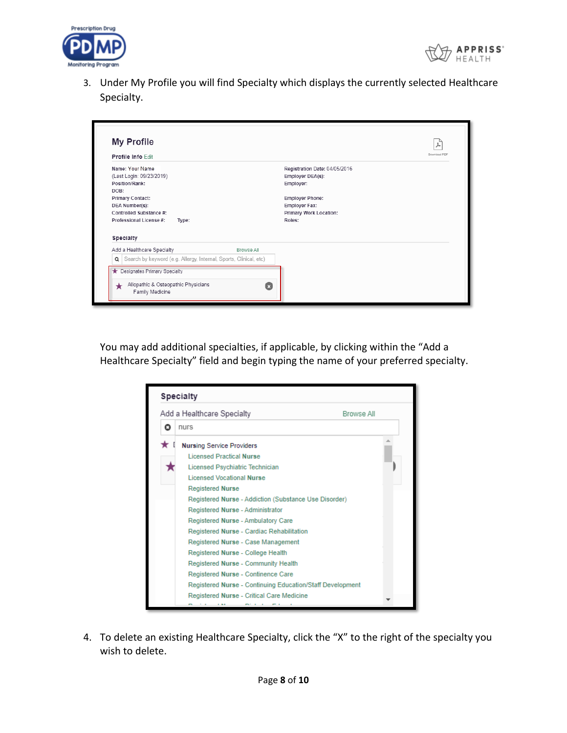



3. Under My Profile you will find Specialty which displays the currently selected Healthcare Specialty.

| Profile Info Edit                                                      |            |                                                                | Download PDF |
|------------------------------------------------------------------------|------------|----------------------------------------------------------------|--------------|
| Name: Your Name<br>(Last Login: 09/23/2019)<br>Position/Rank:<br>DOB:  |            | Registration Date: 04/05/2016<br>Employer DEA(s):<br>Employer: |              |
| <b>Primary Contact:</b>                                                |            | <b>Employer Phone:</b>                                         |              |
| DEA Number(s):                                                         |            | <b>Employer Fax:</b>                                           |              |
| Controlled Substance #:                                                |            | Primary Work Location:                                         |              |
| Professional License #:<br>Type:                                       |            | Roles:                                                         |              |
| Specialty                                                              |            |                                                                |              |
| Add a Healthcare Specialty                                             | Browse All |                                                                |              |
| Search by keyword (e.g. Allergy, Internal, Sports, Clinical, etc)<br>Q |            |                                                                |              |
|                                                                        |            |                                                                |              |

You may add additional specialties, if applicable, by clicking within the "Add a Healthcare Specialty" field and begin typing the name of your preferred specialty.

|   | Add a Healthcare Specialty<br><b>Browse All</b>           |  |
|---|-----------------------------------------------------------|--|
| ο | nurs                                                      |  |
|   | <b>Nursing Service Providers</b>                          |  |
|   | <b>Licensed Practical Nurse</b>                           |  |
|   | Licensed Psychiatric Technician                           |  |
|   | Licensed Vocational Nurse                                 |  |
|   | <b>Registered Nurse</b>                                   |  |
|   | Registered Nurse - Addiction (Substance Use Disorder)     |  |
|   | Registered Nurse - Administrator                          |  |
|   | Registered Nurse - Ambulatory Care                        |  |
|   | Registered Nurse - Cardiac Rehabilitation                 |  |
|   | Registered Nurse - Case Management                        |  |
|   | Registered Nurse - College Health                         |  |
|   | Registered Nurse - Community Health                       |  |
|   | Registered Nurse - Continence Care                        |  |
|   | Registered Nurse - Continuing Education/Staff Development |  |
|   | Registered Nurse - Critical Care Medicine                 |  |
|   |                                                           |  |

4. To delete an existing Healthcare Specialty, click the "X" to the right of the specialty you wish to delete.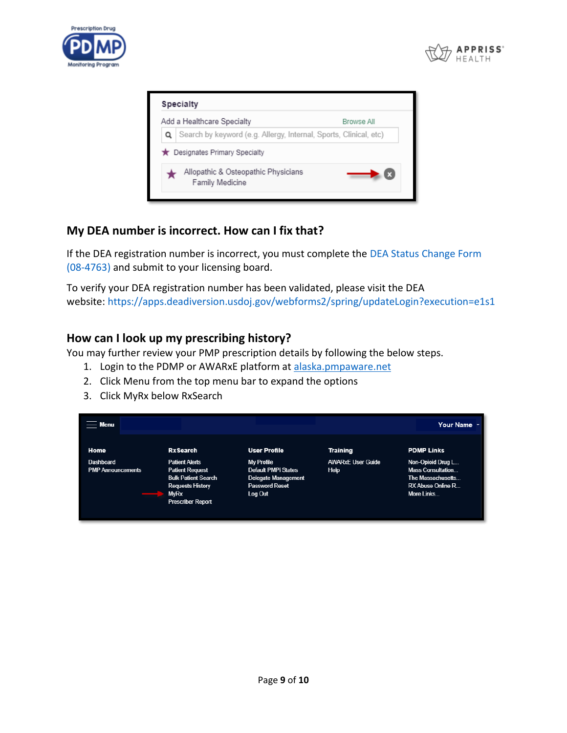



| <b>Specialty</b>                                                  |            |
|-------------------------------------------------------------------|------------|
| Add a Healthcare Specialty                                        | Browse All |
| Search by keyword (e.g. Allergy, Internal, Sports, Clinical, etc) |            |
| ★ Designates Primary Specialty                                    |            |
| Allopathic & Osteopathic Physicians<br>Family Medicine            |            |
|                                                                   |            |

## **My DEA number is incorrect. How can I fix that?**

If the DEA registration number is incorrect, you must complete the [DEA Status Change Form](https://www.commerce.alaska.gov/web/Portals/5/pub/pdmp4763.pdf)  [\(08-4763\)](https://www.commerce.alaska.gov/web/Portals/5/pub/pdmp4763.pdf) and submit to your licensing board.

To verify your DEA registration number has been validated, please visit the DEA website: <https://apps.deadiversion.usdoj.gov/webforms2/spring/updateLogin?execution=e1s1>

## **How can I look up my prescribing history?**

You may further review your PMP prescription details by following the below steps.

- 1. Login to the PDMP or AWARxE platform at [alaska.pmpaware.net](https://alaska.pmpaware.net/)
- 2. Click Menu from the top menu bar to expand the options
- 3. Click MyRx below RxSearch

| Menu                                         |                                                                                                                                                     |                                                                                                     |                                  | Your Name -                                                                                                  |
|----------------------------------------------|-----------------------------------------------------------------------------------------------------------------------------------------------------|-----------------------------------------------------------------------------------------------------|----------------------------------|--------------------------------------------------------------------------------------------------------------|
| Home                                         | <b>RxSearch</b>                                                                                                                                     | <b>User Profile</b>                                                                                 | <b>Training</b>                  | <b>PDMP Links</b>                                                                                            |
| <b>Dashboard</b><br><b>PMP Announcements</b> | <b>Patient Alerts</b><br><b>Patient Request</b><br><b>Bulk Patient Search</b><br><b>Requests History</b><br><b>MyRx</b><br><b>Prescriber Report</b> | My Profile<br>Default PMPi States<br><b>Delegate Management</b><br><b>Password Reset</b><br>Log Out | <b>AWARXE User Guide</b><br>Help | Non-Opioid Drug L<br><b>Mass Consultation</b><br>The Massachusetts<br><b>RX Abuse Online R</b><br>More Links |